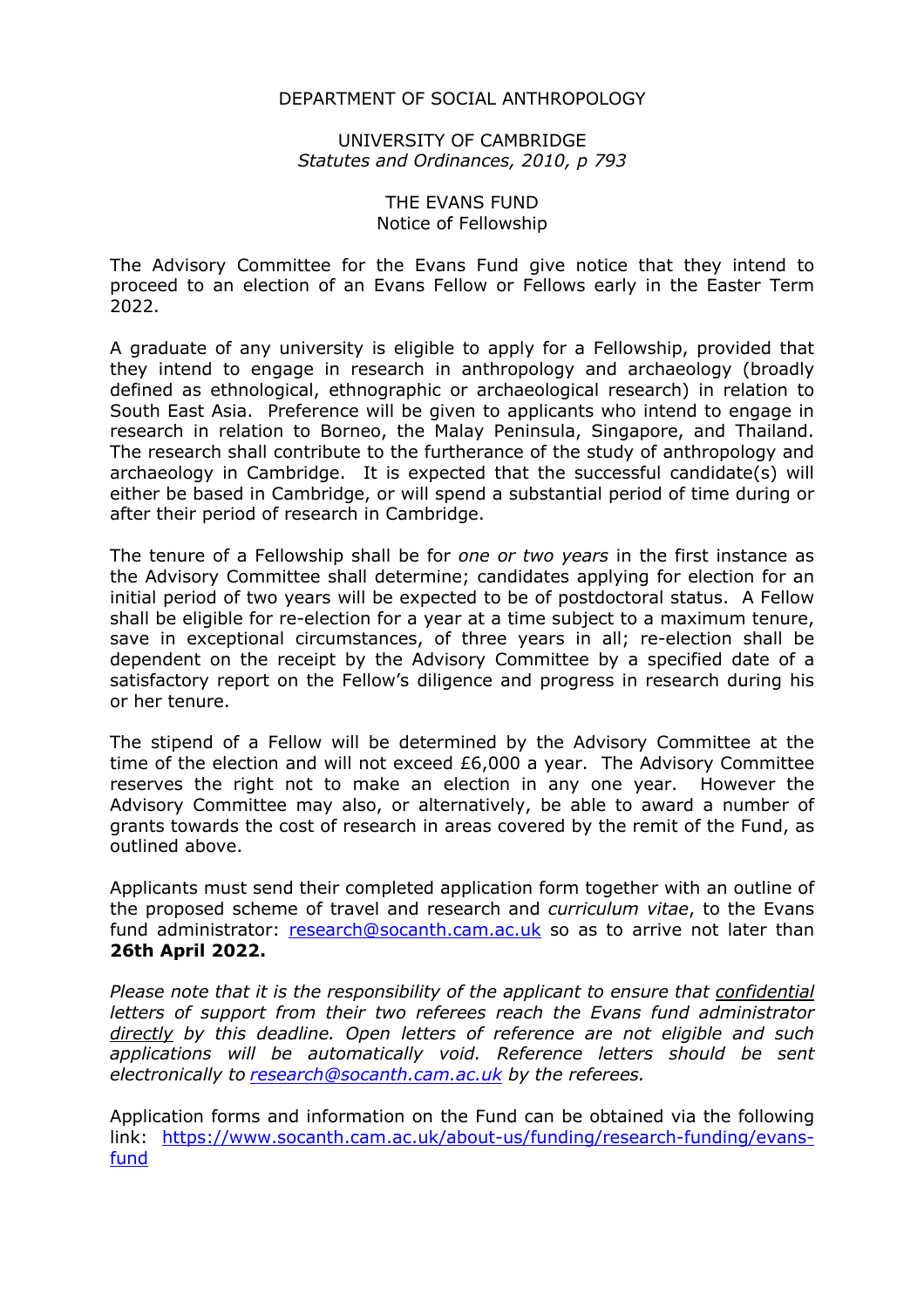### DEPARTMENT OF SOCIAL ANTHROPOLOGY

### UNIVERSITY OF CAMBRIDGE *Statutes and Ordinances, 2010, p 793*

#### THE EVANS FUND Notice of Fellowship

The Advisory Committee for the Evans Fund give notice that they intend to proceed to an election of an Evans Fellow or Fellows early in the Easter Term 2022.

A graduate of any university is eligible to apply for a Fellowship, provided that they intend to engage in research in anthropology and archaeology (broadly defined as ethnological, ethnographic or archaeological research) in relation to South East Asia. Preference will be given to applicants who intend to engage in research in relation to Borneo, the Malay Peninsula, Singapore, and Thailand. The research shall contribute to the furtherance of the study of anthropology and archaeology in Cambridge. It is expected that the successful candidate(s) will either be based in Cambridge, or will spend a substantial period of time during or after their period of research in Cambridge.

The tenure of a Fellowship shall be for *one or two years* in the first instance as the Advisory Committee shall determine; candidates applying for election for an initial period of two years will be expected to be of postdoctoral status. A Fellow shall be eligible for re-election for a year at a time subject to a maximum tenure, save in exceptional circumstances, of three years in all; re-election shall be dependent on the receipt by the Advisory Committee by a specified date of a satisfactory report on the Fellow's diligence and progress in research during his or her tenure.

The stipend of a Fellow will be determined by the Advisory Committee at the time of the election and will not exceed £6,000 a year. The Advisory Committee reserves the right not to make an election in any one year. However the Advisory Committee may also, or alternatively, be able to award a number of grants towards the cost of research in areas covered by the remit of the Fund, as outlined above.

Applicants must send their completed application form together with an outline of the proposed scheme of travel and research and *curriculum vitae*, to the Evans fund administrator: research@socanth.cam.ac.uk so as to arrive not later than **26th April 2022.**

*Please note that it is the responsibility of the applicant to ensure that confidential letters of support from their two referees reach the Evans fund administrator directly by this deadline. Open letters of reference are not eligible and such applications will be automatically void. Reference letters should be sent electronically to research@socanth.cam.ac.uk by the referees.*

Application forms and information on the Fund can be obtained via the following link: https://www.socanth.cam.ac.uk/about-us/funding/research-funding/evansfund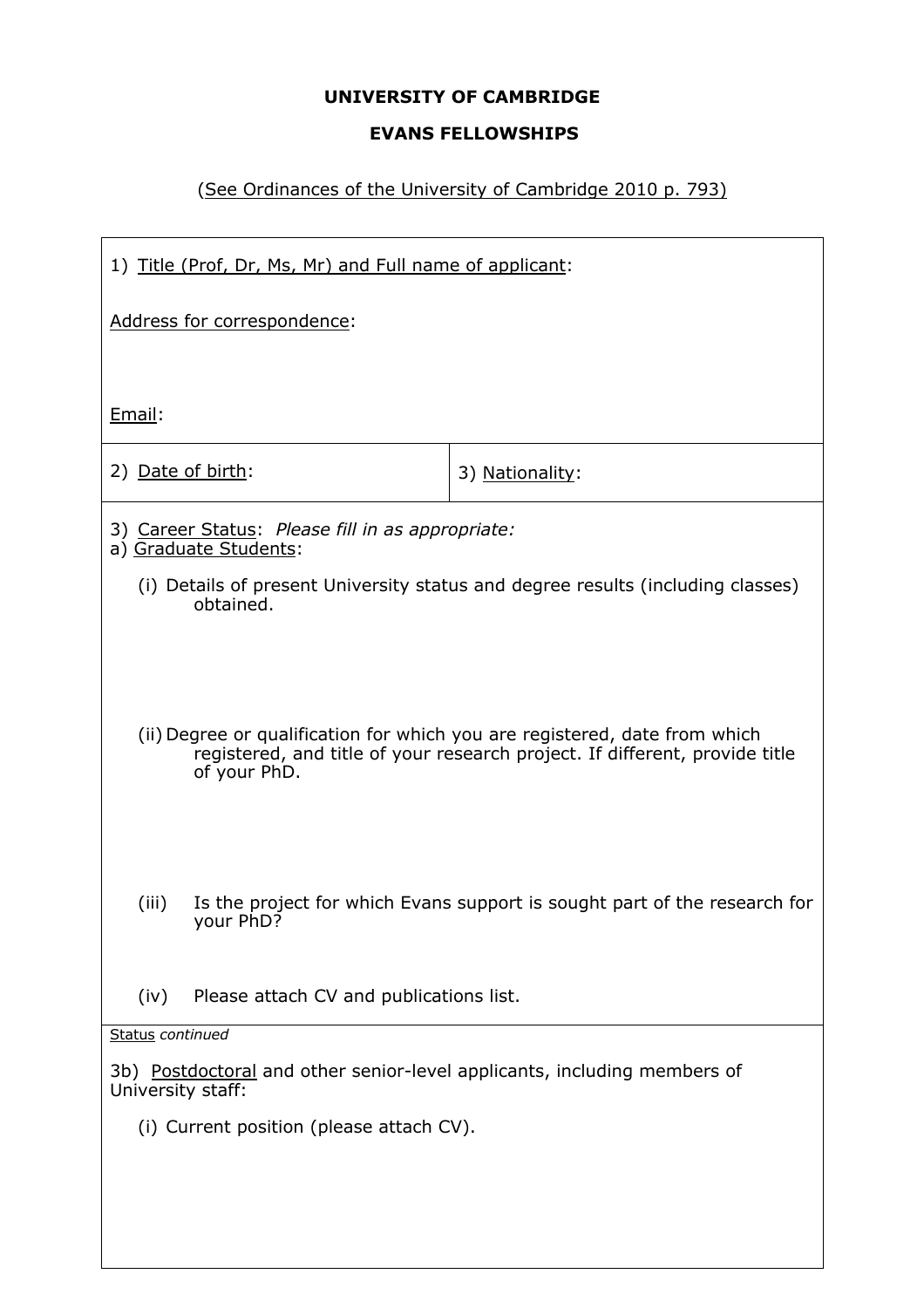## **UNIVERSITY OF CAMBRIDGE**

## **EVANS FELLOWSHIPS**

# (See Ordinances of the University of Cambridge 2010 p. 793)

| 1) Title (Prof, Dr, Ms, Mr) and Full name of applicant:                                                                                                                   |                                                                                 |  |  |  |  |  |  |
|---------------------------------------------------------------------------------------------------------------------------------------------------------------------------|---------------------------------------------------------------------------------|--|--|--|--|--|--|
| Address for correspondence:                                                                                                                                               |                                                                                 |  |  |  |  |  |  |
|                                                                                                                                                                           |                                                                                 |  |  |  |  |  |  |
| Email:                                                                                                                                                                    |                                                                                 |  |  |  |  |  |  |
| 2) Date of birth:                                                                                                                                                         | 3) Nationality:                                                                 |  |  |  |  |  |  |
| 3) Career Status: Please fill in as appropriate:<br>a) Graduate Students:                                                                                                 |                                                                                 |  |  |  |  |  |  |
| obtained.                                                                                                                                                                 | (i) Details of present University status and degree results (including classes) |  |  |  |  |  |  |
|                                                                                                                                                                           |                                                                                 |  |  |  |  |  |  |
| (ii) Degree or qualification for which you are registered, date from which<br>registered, and title of your research project. If different, provide title<br>of your PhD. |                                                                                 |  |  |  |  |  |  |
| (iii)<br>Is the project for which Evans support is sought part of the research for<br>your PhD?                                                                           |                                                                                 |  |  |  |  |  |  |
| Please attach CV and publications list.<br>(iv)                                                                                                                           |                                                                                 |  |  |  |  |  |  |
| Status continued                                                                                                                                                          |                                                                                 |  |  |  |  |  |  |
| 3b) Postdoctoral and other senior-level applicants, including members of<br>University staff:                                                                             |                                                                                 |  |  |  |  |  |  |
| (i) Current position (please attach CV).                                                                                                                                  |                                                                                 |  |  |  |  |  |  |
|                                                                                                                                                                           |                                                                                 |  |  |  |  |  |  |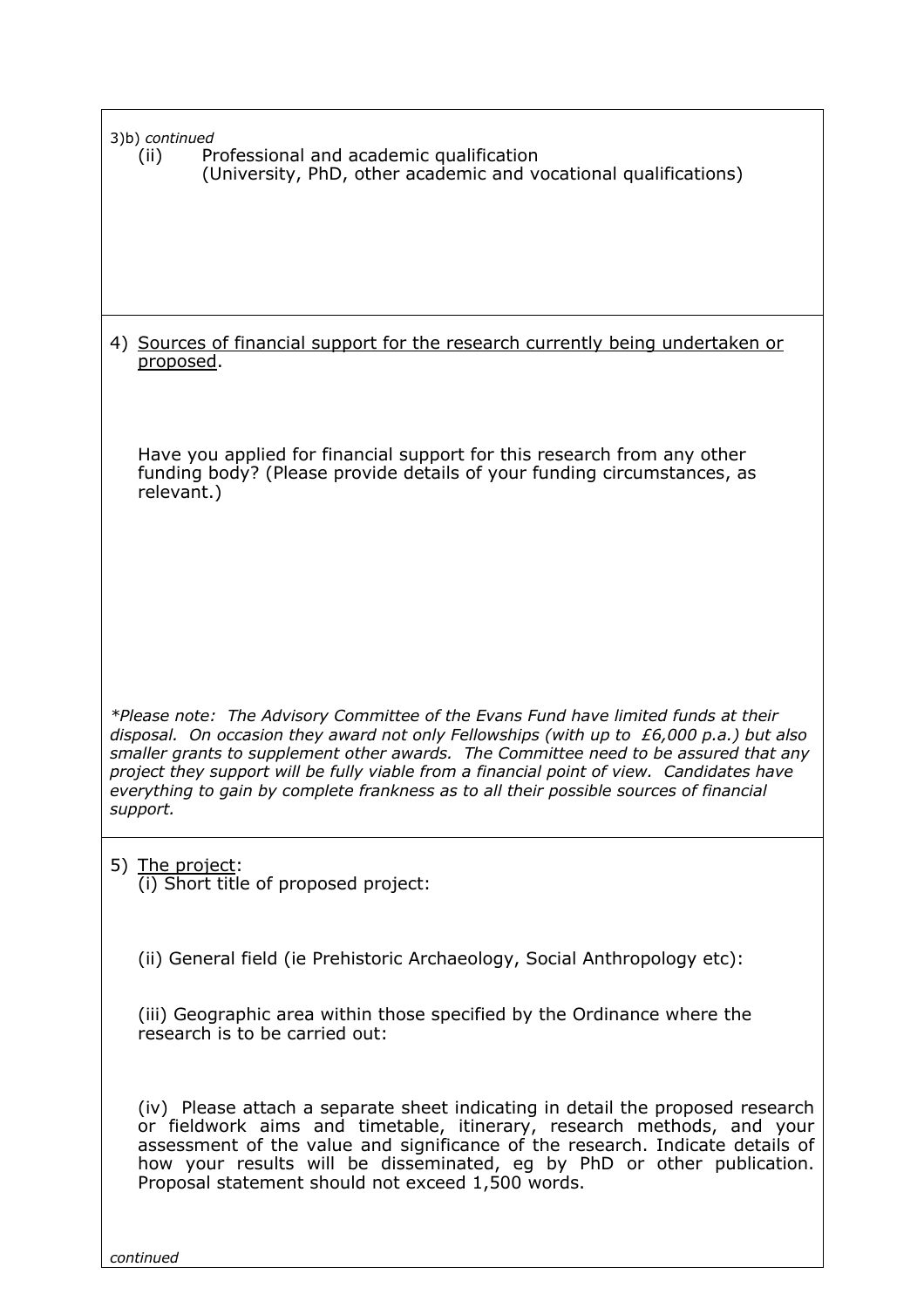| 3)b) continued<br>Professional and academic qualification<br>(ii)<br>(University, PhD, other academic and vocational qualifications)                                                                                                                                                                                                                                                                                                                                        |
|-----------------------------------------------------------------------------------------------------------------------------------------------------------------------------------------------------------------------------------------------------------------------------------------------------------------------------------------------------------------------------------------------------------------------------------------------------------------------------|
|                                                                                                                                                                                                                                                                                                                                                                                                                                                                             |
| 4) Sources of financial support for the research currently being undertaken or<br>proposed.                                                                                                                                                                                                                                                                                                                                                                                 |
| Have you applied for financial support for this research from any other<br>funding body? (Please provide details of your funding circumstances, as<br>relevant.)                                                                                                                                                                                                                                                                                                            |
| *Please note: The Advisory Committee of the Evans Fund have limited funds at their<br>disposal. On occasion they award not only Fellowships (with up to $E(0,000 p.a.)$ but also<br>smaller grants to supplement other awards. The Committee need to be assured that any<br>project they support will be fully viable from a financial point of view. Candidates have<br>everything to gain by complete frankness as to all their possible sources of financial<br>support. |
| 5) The project:<br>(i) Short title of proposed project:                                                                                                                                                                                                                                                                                                                                                                                                                     |
| (ii) General field (ie Prehistoric Archaeology, Social Anthropology etc):                                                                                                                                                                                                                                                                                                                                                                                                   |
| (iii) Geographic area within those specified by the Ordinance where the<br>research is to be carried out:                                                                                                                                                                                                                                                                                                                                                                   |
| (iv) Please attach a separate sheet indicating in detail the proposed research<br>or fieldwork aims and timetable, itinerary, research methods, and your<br>assessment of the value and significance of the research. Indicate details of<br>how your results will be disseminated, eg by PhD or other publication.<br>Proposal statement should not exceed 1,500 words.                                                                                                    |

*continued*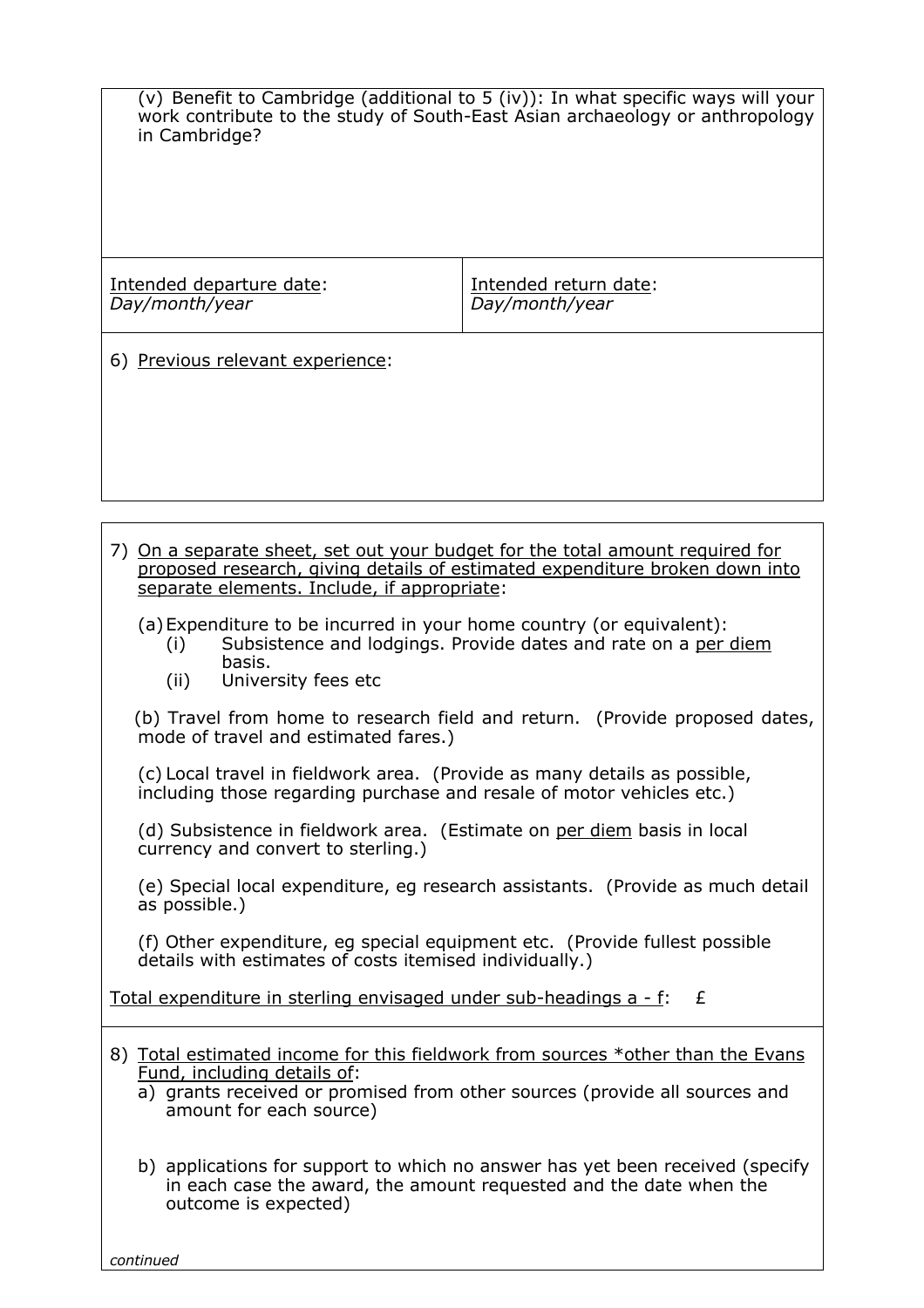| in Cambridge?                                                                                                                                                                                                                                                                                                                                                                                         | (v) Benefit to Cambridge (additional to 5 (iv)): In what specific ways will your<br>work contribute to the study of South-East Asian archaeology or anthropology |  |  |  |  |  |  |  |
|-------------------------------------------------------------------------------------------------------------------------------------------------------------------------------------------------------------------------------------------------------------------------------------------------------------------------------------------------------------------------------------------------------|------------------------------------------------------------------------------------------------------------------------------------------------------------------|--|--|--|--|--|--|--|
| Intended departure date:<br>Day/month/year                                                                                                                                                                                                                                                                                                                                                            | Intended return date:<br>Day/month/year                                                                                                                          |  |  |  |  |  |  |  |
| 6) Previous relevant experience:                                                                                                                                                                                                                                                                                                                                                                      |                                                                                                                                                                  |  |  |  |  |  |  |  |
|                                                                                                                                                                                                                                                                                                                                                                                                       |                                                                                                                                                                  |  |  |  |  |  |  |  |
| 7) On a separate sheet, set out your budget for the total amount required for<br>proposed research, giving details of estimated expenditure broken down into<br>separate elements. Include, if appropriate:<br>(a) Expenditure to be incurred in your home country (or equivalent):<br>Subsistence and lodgings. Provide dates and rate on a per diem<br>(i)<br>basis.<br>University fees etc<br>(ii) |                                                                                                                                                                  |  |  |  |  |  |  |  |
| mode of travel and estimated fares.)                                                                                                                                                                                                                                                                                                                                                                  | (b) Travel from home to research field and return. (Provide proposed dates,                                                                                      |  |  |  |  |  |  |  |
| (c) Local travel in fieldwork area. (Provide as many details as possible,<br>including those regarding purchase and resale of motor vehicles etc.)                                                                                                                                                                                                                                                    |                                                                                                                                                                  |  |  |  |  |  |  |  |

(d) Subsistence in fieldwork area. (Estimate on per diem basis in local currency and convert to sterling.)

(e) Special local expenditure, eg research assistants. (Provide as much detail as possible.)

(f) Other expenditure, eg special equipment etc. (Provide fullest possible details with estimates of costs itemised individually.)

Total expenditure in sterling envisaged under sub-headings  $a - f$ :  $E$ 

|  | 8) Total estimated income for this fieldwork from sources *other than the Evans |  |  |  |  |  |
|--|---------------------------------------------------------------------------------|--|--|--|--|--|
|  | Fund, including details of:                                                     |  |  |  |  |  |

- a) grants received or promised from other sources (provide all sources and amount for each source)
- b) applications for support to which no answer has yet been received (specify in each case the award, the amount requested and the date when the outcome is expected)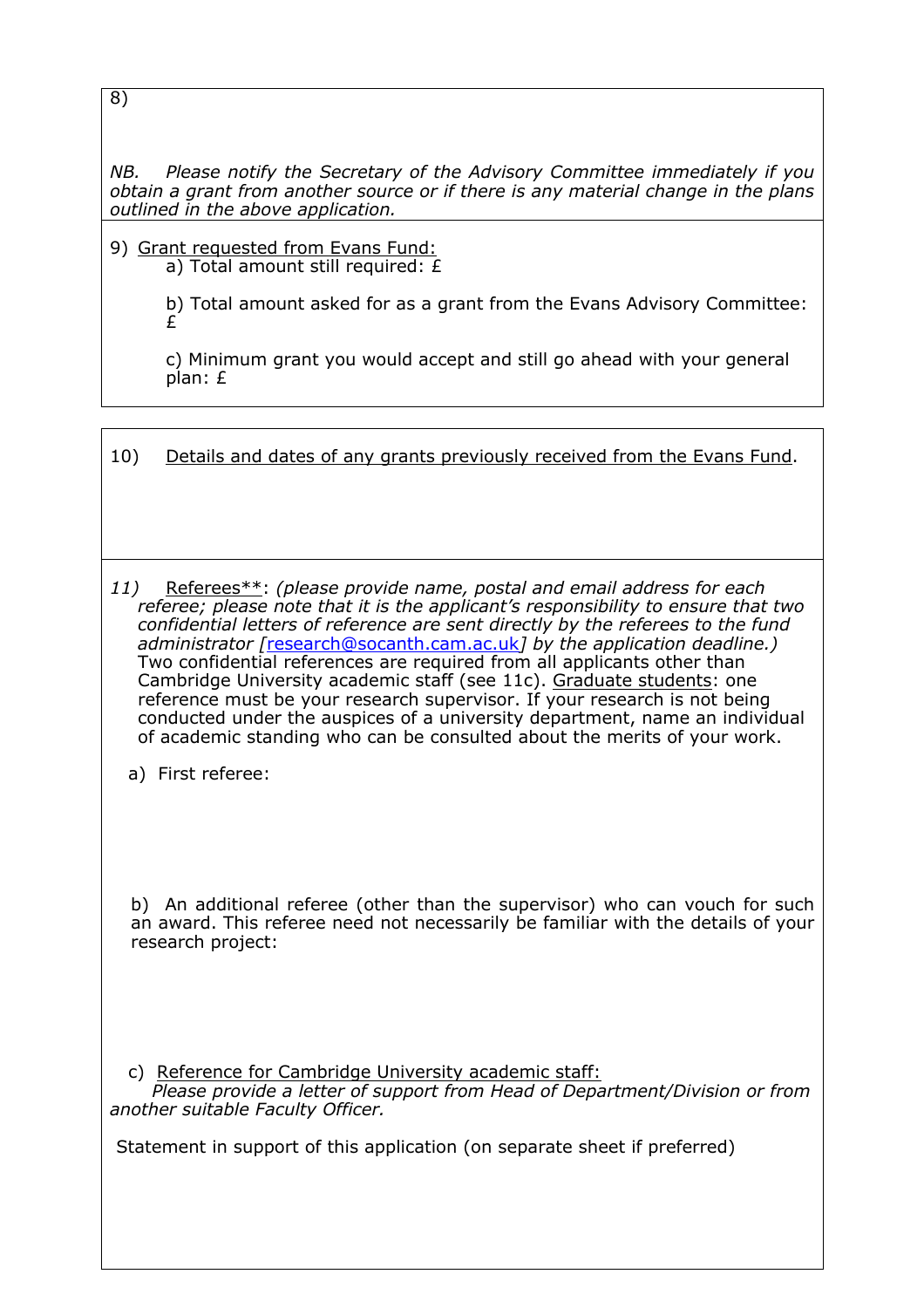8)

*NB. Please notify the Secretary of the Advisory Committee immediately if you obtain a grant from another source or if there is any material change in the plans outlined in the above application.*

9) Grant requested from Evans Fund: a) Total amount still required: £

> b) Total amount asked for as a grant from the Evans Advisory Committee: £

c) Minimum grant you would accept and still go ahead with your general plan: £

| 10) |  | Details and dates of any grants previously received from the Evans Fund. |
|-----|--|--------------------------------------------------------------------------|
|     |  |                                                                          |

*11)* Referees\*\*: *(please provide name, postal and email address for each referee; please note that it is the applicant's responsibility to ensure that two confidential letters of reference are sent directly by the referees to the fund administrator [*research@socanth.cam.ac.uk*] by the application deadline.)* Two confidential references are required from all applicants other than Cambridge University academic staff (see 11c). Graduate students: one reference must be your research supervisor. If your research is not being conducted under the auspices of a university department, name an individual of academic standing who can be consulted about the merits of your work.

a) First referee:

b) An additional referee (other than the supervisor) who can vouch for such an award. This referee need not necessarily be familiar with the details of your research project:

c) Reference for Cambridge University academic staff:

 *Please provide a letter of support from Head of Department/Division or from another suitable Faculty Officer.*

Statement in support of this application (on separate sheet if preferred)